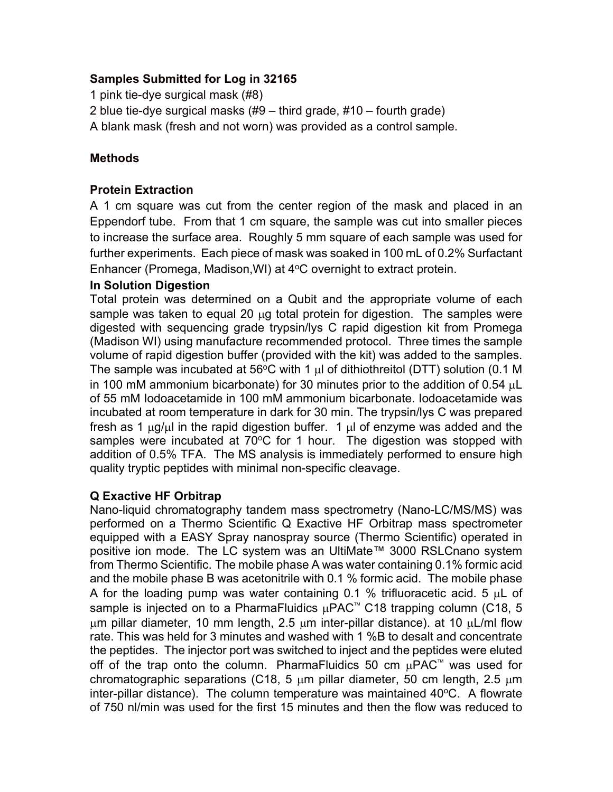## **Samples Submitted for Log in 32165**

1 pink tie-dye surgical mask (#8)

2 blue tie-dye surgical masks (#9 – third grade, #10 – fourth grade)

A blank mask (fresh and not worn) was provided as a control sample.

# **Methods**

# **Protein Extraction**

A 1 cm square was cut from the center region of the mask and placed in an Eppendorf tube. From that 1 cm square, the sample was cut into smaller pieces to increase the surface area. Roughly 5 mm square of each sample was used for further experiments. Each piece of mask was soaked in 100 mL of 0.2% Surfactant Enhancer (Promega, Madison, WI) at  $4^{\circ}$ C overnight to extract protein.

## **In Solution Digestion**

Total protein was determined on a Qubit and the appropriate volume of each sample was taken to equal 20  $\mu$ g total protein for digestion. The samples were digested with sequencing grade trypsin/lys C rapid digestion kit from Promega (Madison WI) using manufacture recommended protocol. Three times the sample volume of rapid digestion buffer (provided with the kit) was added to the samples. The sample was incubated at 56 $\degree$ C with 1  $\mu$ l of dithiothreitol (DTT) solution (0.1 M in 100 mM ammonium bicarbonate) for 30 minutes prior to the addition of 0.54 µL of 55 mM Iodoacetamide in 100 mM ammonium bicarbonate. Iodoacetamide was incubated at room temperature in dark for 30 min. The trypsin/lys C was prepared fresh as 1  $\mu$ g/ $\mu$ l in the rapid digestion buffer. 1  $\mu$ l of enzyme was added and the samples were incubated at  $70^{\circ}$ C for 1 hour. The digestion was stopped with addition of 0.5% TFA. The MS analysis is immediately performed to ensure high quality tryptic peptides with minimal non-specific cleavage.

## **Q Exactive HF Orbitrap**

Nano-liquid chromatography tandem mass spectrometry (Nano-LC/MS/MS) was performed on a Thermo Scientific Q Exactive HF Orbitrap mass spectrometer equipped with a EASY Spray nanospray source (Thermo Scientific) operated in positive ion mode. The LC system was an UltiMate™ 3000 RSLCnano system from Thermo Scientific. The mobile phase A was water containing 0.1% formic acid and the mobile phase B was acetonitrile with 0.1 % formic acid. The mobile phase A for the loading pump was water containing 0.1 % trifluoracetic acid. 5  $\mu$ L of sample is injected on to a PharmaFluidics  $\mu$ PAC<sup>™</sup> C18 trapping column (C18, 5  $\mu$ m pillar diameter, 10 mm length, 2.5  $\mu$ m inter-pillar distance). at 10  $\mu$ L/ml flow rate. This was held for 3 minutes and washed with 1 %B to desalt and concentrate the peptides. The injector port was switched to inject and the peptides were eluted off of the trap onto the column. PharmaFluidics 50 cm  $\mu$ PAC<sup>™</sup> was used for chromatographic separations (C18, 5  $\mu$ m pillar diameter, 50 cm length, 2.5  $\mu$ m inter-pillar distance). The column temperature was maintained  $40^{\circ}$ C. A flowrate of 750 nl/min was used for the first 15 minutes and then the flow was reduced to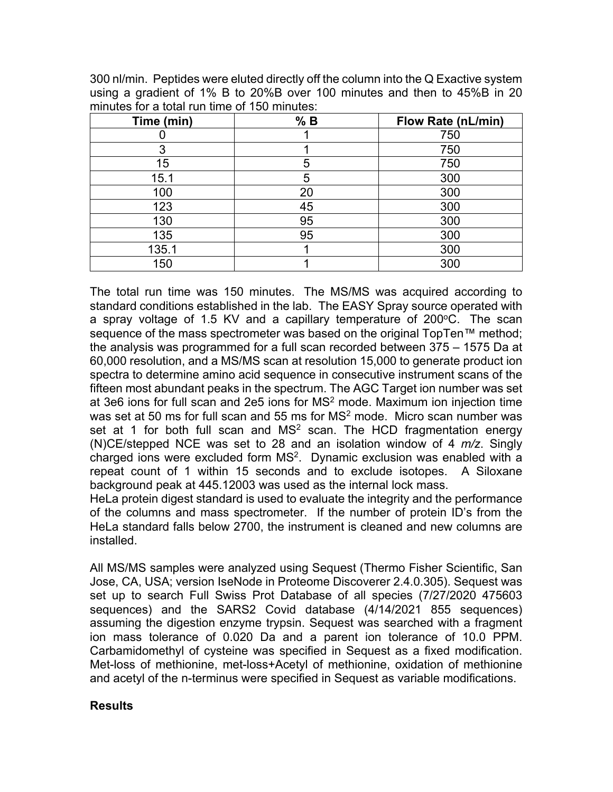300 nl/min. Peptides were eluted directly off the column into the Q Exactive system using a gradient of 1% B to 20%B over 100 minutes and then to 45%B in 20 minutes for a total run time of 150 minutes:

| Time (min) | % B | Flow Rate (nL/min) |
|------------|-----|--------------------|
|            |     | 750                |
| 3          |     | 750                |
| 15         | 5   | 750                |
| 15.1       | 5   | 300                |
| 100        | 20  | 300                |
| 123        | 45  | 300                |
| 130        | 95  | 300                |
| 135        | 95  | 300                |
| 135.1      |     | 300                |
| 150        |     | 300                |

The total run time was 150 minutes. The MS/MS was acquired according to standard conditions established in the lab. The EASY Spray source operated with a spray voltage of 1.5 KV and a capillary temperature of 200 $\degree$ C. The scan sequence of the mass spectrometer was based on the original TopTen™ method; the analysis was programmed for a full scan recorded between 375 – 1575 Da at 60,000 resolution, and a MS/MS scan at resolution 15,000 to generate product ion spectra to determine amino acid sequence in consecutive instrument scans of the fifteen most abundant peaks in the spectrum. The AGC Target ion number was set at 3e6 ions for full scan and 2e5 ions for  $MS<sup>2</sup>$  mode. Maximum ion injection time was set at 50 ms for full scan and 55 ms for  $MS<sup>2</sup>$  mode. Micro scan number was set at 1 for both full scan and  $MS<sup>2</sup>$  scan. The HCD fragmentation energy (N)CE/stepped NCE was set to 28 and an isolation window of 4 *m/z*. Singly charged ions were excluded form MS2. Dynamic exclusion was enabled with a repeat count of 1 within 15 seconds and to exclude isotopes. A Siloxane background peak at 445.12003 was used as the internal lock mass.

HeLa protein digest standard is used to evaluate the integrity and the performance of the columns and mass spectrometer. If the number of protein ID's from the HeLa standard falls below 2700, the instrument is cleaned and new columns are installed.

All MS/MS samples were analyzed using Sequest (Thermo Fisher Scientific, San Jose, CA, USA; version IseNode in Proteome Discoverer 2.4.0.305). Sequest was set up to search Full Swiss Prot Database of all species (7/27/2020 475603 sequences) and the SARS2 Covid database (4/14/2021 855 sequences) assuming the digestion enzyme trypsin. Sequest was searched with a fragment ion mass tolerance of 0.020 Da and a parent ion tolerance of 10.0 PPM. Carbamidomethyl of cysteine was specified in Sequest as a fixed modification. Met-loss of methionine, met-loss+Acetyl of methionine, oxidation of methionine and acetyl of the n-terminus were specified in Sequest as variable modifications.

## **Results**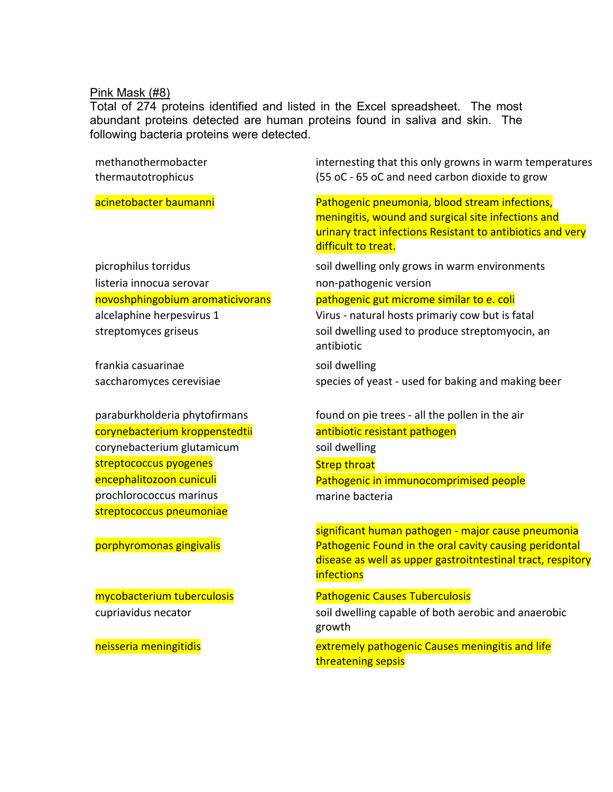### Pink Mask (#8)

Total of 274 proteins identified and listed in the Excel spreadsheet. The most abundant proteins detected are human proteins found in saliva and skin. The following bacteria proteins were detected.

methanothermobacter thermautotrophicus

listeria innocua serovar non-pathogenic version

frankia casuarinae soil dwelling

corynebacterium kroppenstedtii antibiotic resistant pathogen corynebacterium glutamicum soil dwelling streptococcus pyogenes strep throat prochlorococcus marinus marine bacteria streptococcus pneumoniae

internesting that this only growns in warm temperatures (55 oC - 65 oC and need carbon dioxide to grow

acinetobacter baumanni Pathogenic pneumonia, blood stream infections, meningitis, wound and surgical site infections and urinary tract infections Resistant to antibiotics and very difficult to treat.

picrophilus torridus soil dwelling only grows in warm environments

### novoshphingobium aromaticivorans pathogenic gut microme similar to e. coli

alcelaphine herpesvirus 1 Virus - natural hosts primariy cow but is fatal streptomyces griseus soil dwelling used to produce streptomyocin, an antibiotic

saccharomyces cerevisiae species of yeast - used for baking and making beer

paraburkholderia phytofirmans found on pie trees - all the pollen in the air encephalitozoon cuniculi Pathogenic in immunocomprimised people

significant human pathogen - major cause pneumonia porphyromonas gingivalis Pathogenic Found in the oral cavity causing peridontal disease as well as upper gastroitntestinal tract, respitory **infections** 

## mycobacterium tuberculosis Pathogenic Causes Tuberculosis

cupriavidus necator soil dwelling capable of both aerobic and anaerobic growth

neisseria meningitidis extremely pathogenic Causes meningitis and life threatening sepsis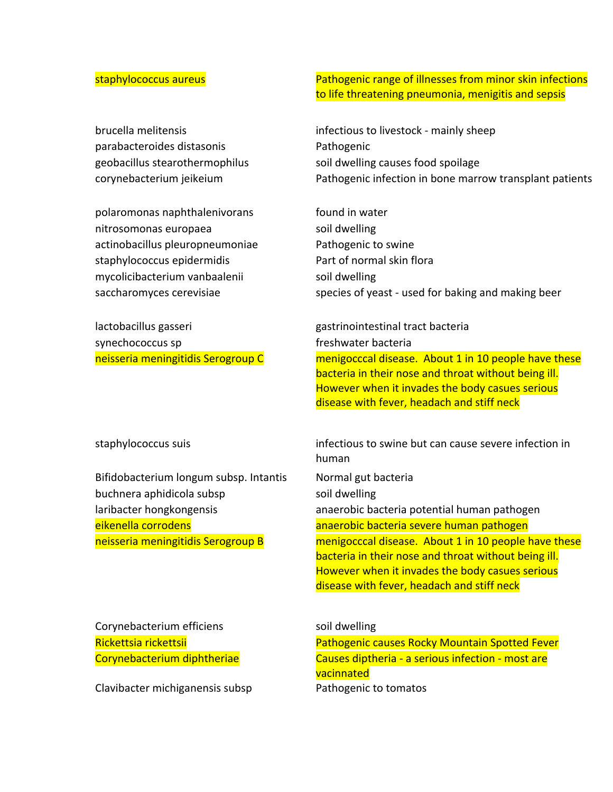parabacteroides distasonis Pathogenic

polaromonas naphthalenivorans found in water nitrosomonas europaea soil dwelling actinobacillus pleuropneumoniae Pathogenic to swine staphylococcus epidermidis example and part of normal skin floral mycolicibacterium vanbaalenii soil dwelling

lactobacillus gasseri gastrinointestinal tract bacteria synechococcus sp freshwater bacteria

Bifidobacterium longum subsp. Intantis Normal gut bacteria buchnera aphidicola subsp soil dwelling

Corynebacterium efficiens soil dwelling

Clavibacter michiganensis subsp Pathogenic to tomatos

staphylococcus aureus Pathogenic range of illnesses from minor skin infections to life threatening pneumonia, menigitis and sepsis

brucella melitensis infectious to livestock - mainly sheep geobacillus stearothermophilus soil dwelling causes food spoilage corynebacterium jeikeium Pathogenic infection in bone marrow transplant patients

saccharomyces cerevisiae species of yeast - used for baking and making beer

neisseria meningitidis Serogroup C menigocccal disease. About 1 in 10 people have these bacteria in their nose and throat without being ill. However when it invades the body casues serious disease with fever, headach and stiff neck

staphylococcus suis infectious to swine but can cause severe infection in human

laribacter hongkongensis anaerobic bacteria potential human pathogen eikenella corrodens anaerobic bacteria severe human pathogen neisseria meningitidis Serogroup B menigocccal disease. About 1 in 10 people have these bacteria in their nose and throat without being ill. However when it invades the body casues serious disease with fever, headach and stiff neck

Rickettsia rickettsii Pathogenic causes Rocky Mountain Spotted Fever Corynebacterium diphtheriae Causes diptheria - a serious infection - most are vacinnated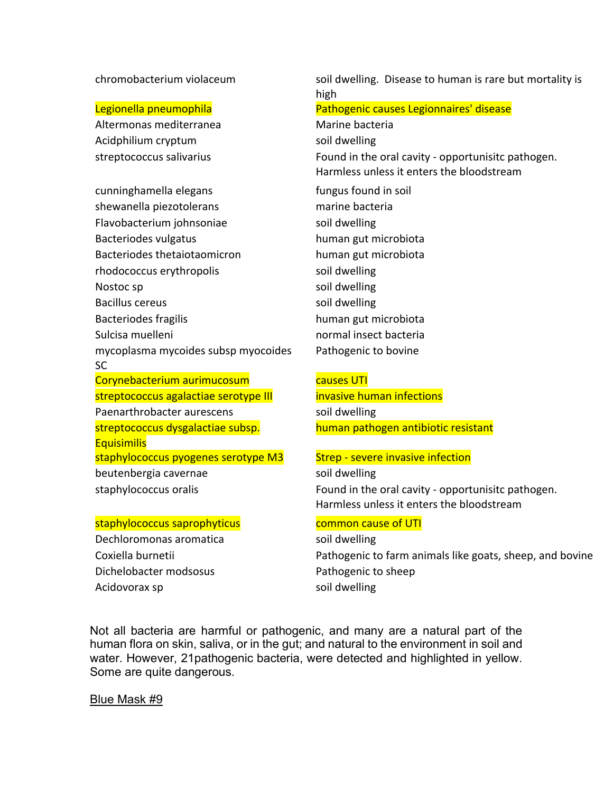Altermonas mediterranea Marine bacteria Acidphilium cryptum soil dwelling

cunninghamella elegans fungus found in soil shewanella piezotolerans marine bacteria Flavobacterium johnsoniae soil dwelling Bacteriodes vulgatus human gut microbiota Bacteriodes thetaiotaomicron human gut microbiota rhodococcus erythropolis soil dwelling Nostoc sp soil dwelling Bacillus cereus and the solution of the solution of the solution of the solution of the solution of the solution of the solution of the solution of the solution of the solution of the solution of the solution of the soluti Bacteriodes fragilis human gut microbiota Sulcisa muelleni normal insect bacteria mycoplasma mycoides subsp myocoides SC Corynebacterium aurimucosum causes UTI streptococcus agalactiae serotype III invasive human infections Paenarthrobacter aurescens The Soil dwelling streptococcus dysgalactiae subsp. **Equisimilis** staphylococcus pyogenes serotype M3 Strep - severe invasive infection beutenbergia cavernae soil dwelling

## staphylococcus saprophyticus common cause of UTI

Dechloromonas aromatica soil dwelling Dichelobacter modsosus **Pathogenic to sheep** Acidovorax sp and the sould welling

chromobacterium violaceum soil dwelling. Disease to human is rare but mortality is high Legionella pneumophila Pathogenic causes Legionnaires' disease streptococcus salivarius **Found in the oral cavity - opportunisitc pathogen.** Harmless unless it enters the bloodstream Pathogenic to bovine

human pathogen antibiotic resistant

staphylococcus oralis **Found in the oral cavity - opportunisitc pathogen.** Harmless unless it enters the bloodstream

Coxiella burnetii **Pathogenic to farm animals like goats, sheep, and bovine** 

Not all bacteria are harmful or pathogenic, and many are a natural part of the human flora on skin, saliva, or in the gut; and natural to the environment in soil and water. However, 21pathogenic bacteria, were detected and highlighted in yellow. Some are quite dangerous.

Blue Mask #9